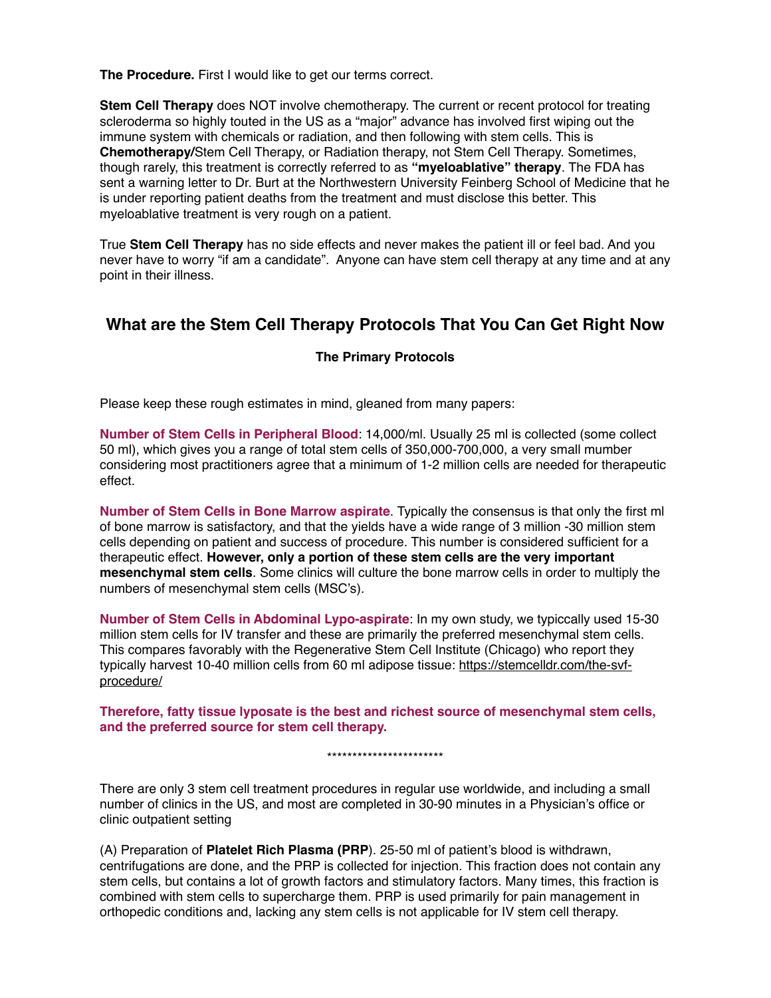**The Procedure.** First I would like to get our terms correct.

**Stem Cell Therapy** does NOT involve chemotherapy. The current or recent protocol for treating scleroderma so highly touted in the US as a "major" advance has involved first wiping out the immune system with chemicals or radiation, and then following with stem cells. This is **Chemotherapy/**Stem Cell Therapy, or Radiation therapy, not Stem Cell Therapy. Sometimes, though rarely, this treatment is correctly referred to as **"myeloablative" therapy**. The FDA has sent a warning letter to Dr. Burt at the Northwestern University Feinberg School of Medicine that he is under reporting patient deaths from the treatment and must disclose this better. This myeloablative treatment is very rough on a patient.

True **Stem Cell Therapy** has no side effects and never makes the patient ill or feel bad. And you never have to worry "if am a candidate". Anyone can have stem cell therapy at any time and at any point in their illness.

# **What are the Stem Cell Therapy Protocols That You Can Get Right Now**

### **The Primary Protocols**

Please keep these rough estimates in mind, gleaned from many papers:

**Number of Stem Cells in Peripheral Blood**: 14,000/ml. Usually 25 ml is collected (some collect 50 ml), which gives you a range of total stem cells of 350,000-700,000, a very small mumber considering most practitioners agree that a minimum of 1-2 million cells are needed for therapeutic effect.

**Number of Stem Cells in Bone Marrow aspirate**. Typically the consensus is that only the first ml of bone marrow is satisfactory, and that the yields have a wide range of 3 million -30 million stem cells depending on patient and success of procedure. This number is considered sufficient for a therapeutic effect. **However, only a portion of these stem cells are the very important mesenchymal stem cells**. Some clinics will culture the bone marrow cells in order to multiply the numbers of mesenchymal stem cells (MSC's).

**Number of Stem Cells in Abdominal Lypo-aspirate**: In my own study, we typiccally used 15-30 million stem cells for IV transfer and these are primarily the preferred mesenchymal stem cells. This compares favorably with the Regenerative Stem Cell Institute (Chicago) who report they typically harvest 10-40 million cells from 60 ml adipose tissue: https://stemcelldr.com/the-svfprocedure/

**Therefore, fatty tissue lyposate is the best and richest source of mesenchymal stem cells, and the preferred source for stem cell therapy.**

\*\*\*\*\*\*\*\*\*\*\*\*\*\*\*\*\*\*\*\*\*\*\*

There are only 3 stem cell treatment procedures in regular use worldwide, and including a small number of clinics in the US, and most are completed in 30-90 minutes in a Physician's office or clinic outpatient setting

(A) Preparation of **Platelet Rich Plasma (PRP**). 25-50 ml of patient's blood is withdrawn, centrifugations are done, and the PRP is collected for injection. This fraction does not contain any stem cells, but contains a lot of growth factors and stimulatory factors. Many times, this fraction is combined with stem cells to supercharge them. PRP is used primarily for pain management in orthopedic conditions and, lacking any stem cells is not applicable for IV stem cell therapy.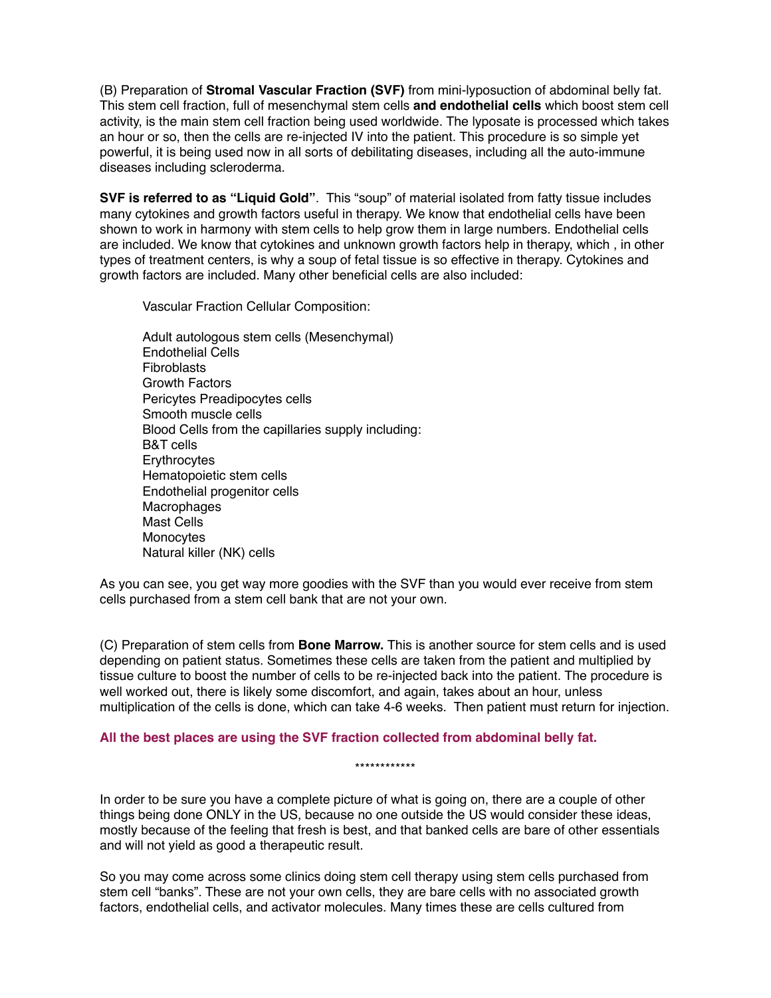(B) Preparation of **Stromal Vascular Fraction (SVF)** from mini-lyposuction of abdominal belly fat. This stem cell fraction, full of mesenchymal stem cells **and endothelial cells** which boost stem cell activity, is the main stem cell fraction being used worldwide. The lyposate is processed which takes an hour or so, then the cells are re-injected IV into the patient. This procedure is so simple yet powerful, it is being used now in all sorts of debilitating diseases, including all the auto-immune diseases including scleroderma.

**SVF is referred to as "Liquid Gold"**. This "soup" of material isolated from fatty tissue includes many cytokines and growth factors useful in therapy. We know that endothelial cells have been shown to work in harmony with stem cells to help grow them in large numbers. Endothelial cells are included. We know that cytokines and unknown growth factors help in therapy, which , in other types of treatment centers, is why a soup of fetal tissue is so effective in therapy. Cytokines and growth factors are included. Many other beneficial cells are also included:

Vascular Fraction Cellular Composition:

Adult autologous stem cells (Mesenchymal) Endothelial Cells Fibroblasts Growth Factors Pericytes Preadipocytes cells Smooth muscle cells Blood Cells from the capillaries supply including: B&T cells **Erythrocytes** Hematopoietic stem cells Endothelial progenitor cells Macrophages Mast Cells Monocytes Natural killer (NK) cells

As you can see, you get way more goodies with the SVF than you would ever receive from stem cells purchased from a stem cell bank that are not your own.

(C) Preparation of stem cells from **Bone Marrow.** This is another source for stem cells and is used depending on patient status. Sometimes these cells are taken from the patient and multiplied by tissue culture to boost the number of cells to be re-injected back into the patient. The procedure is well worked out, there is likely some discomfort, and again, takes about an hour, unless multiplication of the cells is done, which can take 4-6 weeks. Then patient must return for injection.

### **All the best places are using the SVF fraction collected from abdominal belly fat.**

\*\*\*\*\*\*\*\*\*\*\*\*

In order to be sure you have a complete picture of what is going on, there are a couple of other things being done ONLY in the US, because no one outside the US would consider these ideas, mostly because of the feeling that fresh is best, and that banked cells are bare of other essentials and will not yield as good a therapeutic result.

So you may come across some clinics doing stem cell therapy using stem cells purchased from stem cell "banks". These are not your own cells, they are bare cells with no associated growth factors, endothelial cells, and activator molecules. Many times these are cells cultured from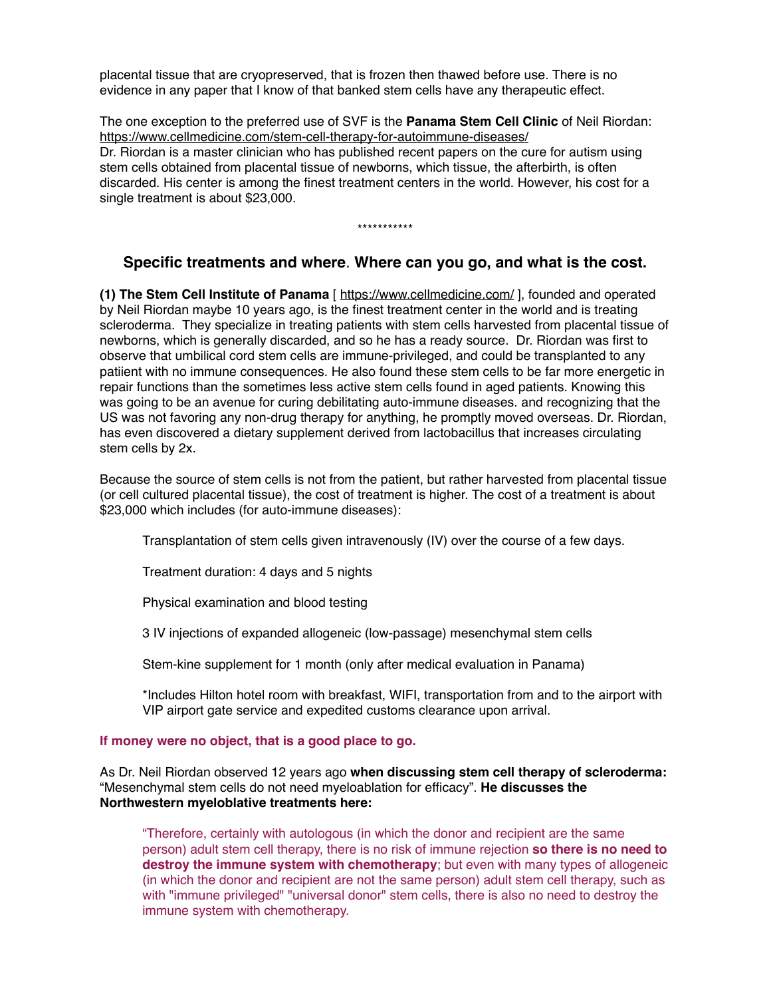placental tissue that are cryopreserved, that is frozen then thawed before use. There is no evidence in any paper that I know of that banked stem cells have any therapeutic effect.

The one exception to the preferred use of SVF is the **Panama Stem Cell Clinic** of Neil Riordan: https://www.cellmedicine.com/stem-cell-therapy-for-autoimmune-diseases/ Dr. Riordan is a master clinician who has published recent papers on the cure for autism using stem cells obtained from placental tissue of newborns, which tissue, the afterbirth, is often discarded. His center is among the finest treatment centers in the world. However, his cost for a single treatment is about \$23,000.

\*\*\*\*\*\*\*\*\*\*\*

## **Specific treatments and where**. **Where can you go, and what is the cost.**

**(1) The Stem Cell Institute of Panama** [ https://www.cellmedicine.com/ ], founded and operated by Neil Riordan maybe 10 years ago, is the finest treatment center in the world and is treating scleroderma. They specialize in treating patients with stem cells harvested from placental tissue of newborns, which is generally discarded, and so he has a ready source. Dr. Riordan was first to observe that umbilical cord stem cells are immune-privileged, and could be transplanted to any patiient with no immune consequences. He also found these stem cells to be far more energetic in repair functions than the sometimes less active stem cells found in aged patients. Knowing this was going to be an avenue for curing debilitating auto-immune diseases. and recognizing that the US was not favoring any non-drug therapy for anything, he promptly moved overseas. Dr. Riordan, has even discovered a dietary supplement derived from lactobacillus that increases circulating stem cells by 2x.

Because the source of stem cells is not from the patient, but rather harvested from placental tissue (or cell cultured placental tissue), the cost of treatment is higher. The cost of a treatment is about \$23,000 which includes (for auto-immune diseases):

Transplantation of stem cells given intravenously (IV) over the course of a few days.

Treatment duration: 4 days and 5 nights

Physical examination and blood testing

3 IV injections of expanded allogeneic (low-passage) mesenchymal stem cells

Stem-kine supplement for 1 month (only after medical evaluation in Panama)

\*Includes Hilton hotel room with breakfast, WIFI, transportation from and to the airport with VIP airport gate service and expedited customs clearance upon arrival.

#### **If money were no object, that is a good place to go.**

As Dr. Neil Riordan observed 12 years ago **when discussing stem cell therapy of scleroderma:** "Mesenchymal stem cells do not need myeloablation for efficacy". **He discusses the Northwestern myeloblative treatments here:** 

"Therefore, certainly with autologous (in which the donor and recipient are the same person) adult stem cell therapy, there is no risk of immune rejection **so there is no need to destroy the immune system with chemotherapy**; but even with many types of allogeneic (in which the donor and recipient are not the same person) adult stem cell therapy, such as with "immune privileged" "universal donor" stem cells, there is also no need to destroy the immune system with chemotherapy.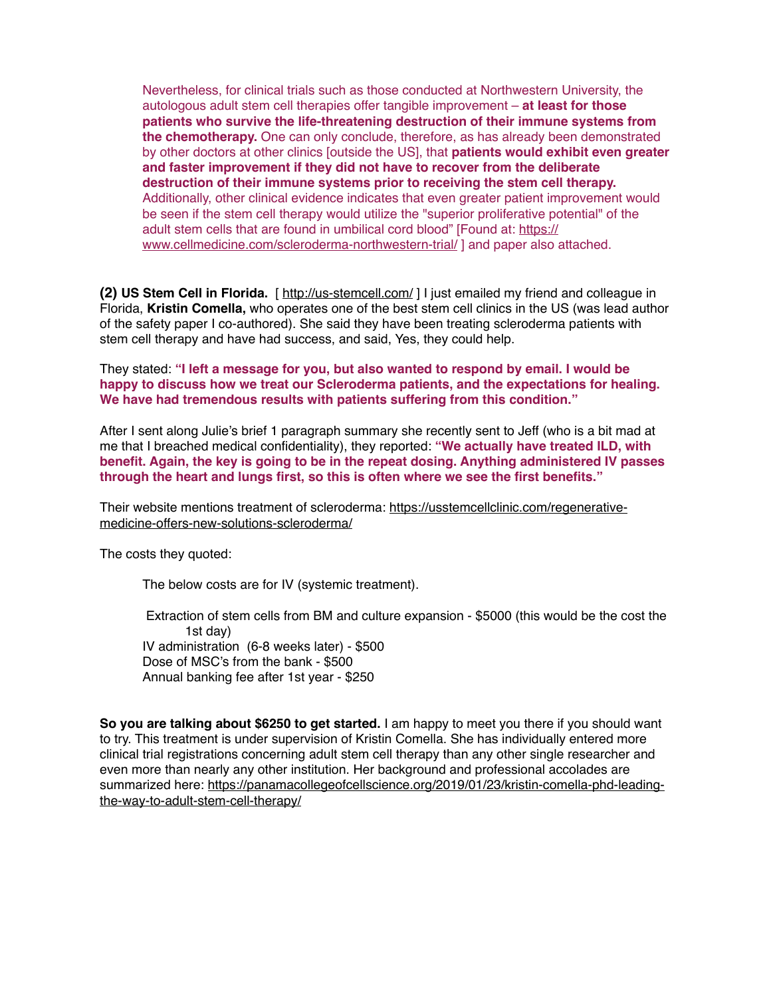Nevertheless, for clinical trials such as those conducted at Northwestern University, the autologous adult stem cell therapies offer tangible improvement – **at least for those patients who survive the life-threatening destruction of their immune systems from the chemotherapy.** One can only conclude, therefore, as has already been demonstrated by other doctors at other clinics [outside the US], that **patients would exhibit even greater and faster improvement if they did not have to recover from the deliberate destruction of their immune systems prior to receiving the stem cell therapy.** Additionally, other clinical evidence indicates that even greater patient improvement would be seen if the stem cell therapy would utilize the "superior proliferative potential" of the adult stem cells that are found in umbilical cord blood" [Found at: https:// www.cellmedicine.com/scleroderma-northwestern-trial/ ] and paper also attached.

**(2) US Stem Cell in Florida.** [ http://us-stemcell.com/ ] I just emailed my friend and colleague in Florida, **Kristin Comella,** who operates one of the best stem cell clinics in the US (was lead author of the safety paper I co-authored). She said they have been treating scleroderma patients with stem cell therapy and have had success, and said, Yes, they could help.

They stated: **"I left a message for you, but also wanted to respond by email. I would be happy to discuss how we treat our Scleroderma patients, and the expectations for healing. We have had tremendous results with patients suffering from this condition."**

After I sent along Julie's brief 1 paragraph summary she recently sent to Jeff (who is a bit mad at me that I breached medical confidentiality), they reported: **"We actually have treated ILD, with benefit. Again, the key is going to be in the repeat dosing. Anything administered IV passes through the heart and lungs first, so this is often where we see the first benefits."**

Their website mentions treatment of scleroderma: https://usstemcellclinic.com/regenerativemedicine-offers-new-solutions-scleroderma/

The costs they quoted:

The below costs are for IV (systemic treatment).

 Extraction of stem cells from BM and culture expansion - \$5000 (this would be the cost the 1st day) IV administration (6-8 weeks later) - \$500 Dose of MSC's from the bank - \$500 Annual banking fee after 1st year - \$250

**So you are talking about \$6250 to get started.** I am happy to meet you there if you should want to try. This treatment is under supervision of Kristin Comella. She has individually entered more clinical trial registrations concerning adult stem cell therapy than any other single researcher and even more than nearly any other institution. Her background and professional accolades are summarized here: https://panamacollegeofcellscience.org/2019/01/23/kristin-comella-phd-leadingthe-way-to-adult-stem-cell-therapy/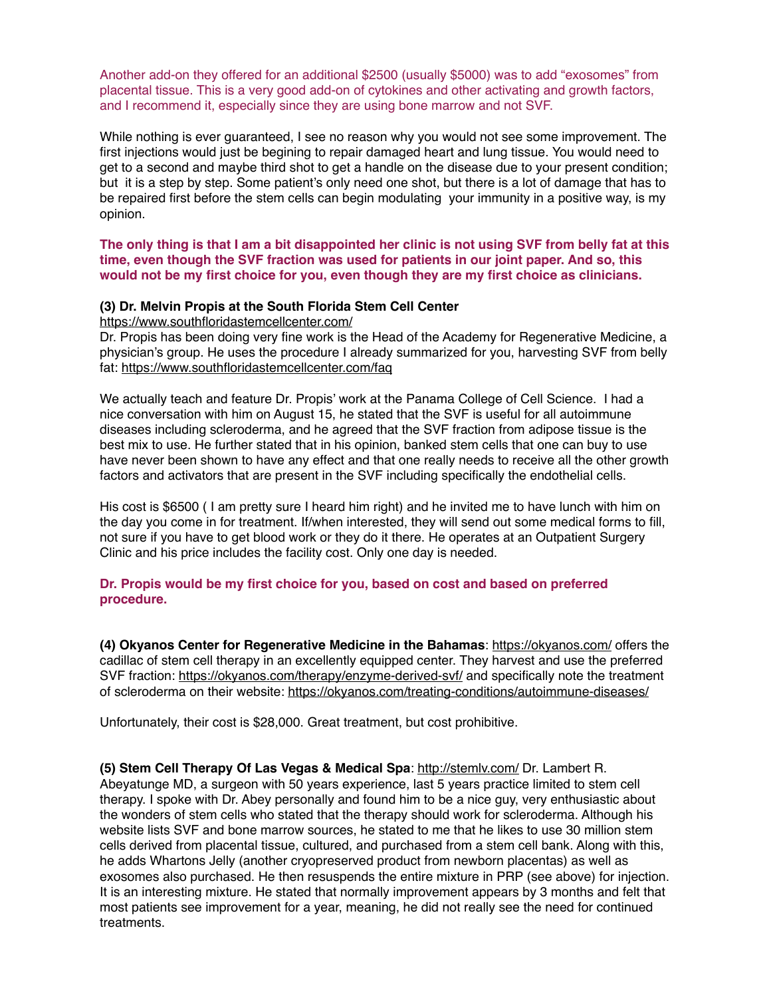Another add-on they offered for an additional \$2500 (usually \$5000) was to add "exosomes" from placental tissue. This is a very good add-on of cytokines and other activating and growth factors, and I recommend it, especially since they are using bone marrow and not SVF.

While nothing is ever guaranteed, I see no reason why you would not see some improvement. The first injections would just be begining to repair damaged heart and lung tissue. You would need to get to a second and maybe third shot to get a handle on the disease due to your present condition; but it is a step by step. Some patient's only need one shot, but there is a lot of damage that has to be repaired first before the stem cells can begin modulating your immunity in a positive way, is my opinion.

**The only thing is that I am a bit disappointed her clinic is not using SVF from belly fat at this time, even though the SVF fraction was used for patients in our joint paper. And so, this would not be my first choice for you, even though they are my first choice as clinicians.**

### **(3) Dr. Melvin Propis at the South Florida Stem Cell Center**

https://www.southfloridastemcellcenter.com/

Dr. Propis has been doing very fine work is the Head of the Academy for Regenerative Medicine, a physician's group. He uses the procedure I already summarized for you, harvesting SVF from belly fat: https://www.southfloridastemcellcenter.com/faq

We actually teach and feature Dr. Propis' work at the Panama College of Cell Science. I had a nice conversation with him on August 15, he stated that the SVF is useful for all autoimmune diseases including scleroderma, and he agreed that the SVF fraction from adipose tissue is the best mix to use. He further stated that in his opinion, banked stem cells that one can buy to use have never been shown to have any effect and that one really needs to receive all the other growth factors and activators that are present in the SVF including specifically the endothelial cells.

His cost is \$6500 ( I am pretty sure I heard him right) and he invited me to have lunch with him on the day you come in for treatment. If/when interested, they will send out some medical forms to fill, not sure if you have to get blood work or they do it there. He operates at an Outpatient Surgery Clinic and his price includes the facility cost. Only one day is needed.

### **Dr. Propis would be my first choice for you, based on cost and based on preferred procedure.**

**(4) Okyanos Center for Regenerative Medicine in the Bahamas**: https://okyanos.com/ offers the cadillac of stem cell therapy in an excellently equipped center. They harvest and use the preferred SVF fraction: https://okyanos.com/therapy/enzyme-derived-svf/ and specifically note the treatment of scleroderma on their website: https://okyanos.com/treating-conditions/autoimmune-diseases/

Unfortunately, their cost is \$28,000. Great treatment, but cost prohibitive.

**(5) Stem Cell Therapy Of Las Vegas & Medical Spa**: http://stemlv.com/ Dr. Lambert R. Abeyatunge MD, a surgeon with 50 years experience, last 5 years practice limited to stem cell therapy. I spoke with Dr. Abey personally and found him to be a nice guy, very enthusiastic about the wonders of stem cells who stated that the therapy should work for scleroderma. Although his website lists SVF and bone marrow sources, he stated to me that he likes to use 30 million stem cells derived from placental tissue, cultured, and purchased from a stem cell bank. Along with this, he adds Whartons Jelly (another cryopreserved product from newborn placentas) as well as exosomes also purchased. He then resuspends the entire mixture in PRP (see above) for injection. It is an interesting mixture. He stated that normally improvement appears by 3 months and felt that most patients see improvement for a year, meaning, he did not really see the need for continued treatments.